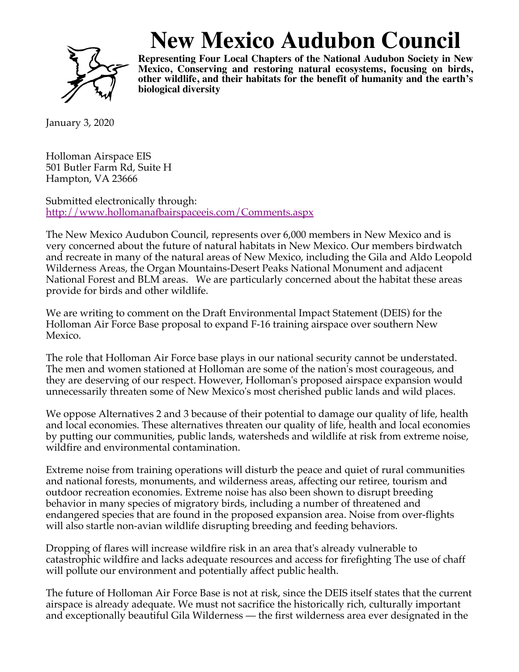

## **New Mexico Audubon Council**

**Representing Four Local Chapters of the National Audubon Society in New Mexico, Conserving and restoring natural ecosystems, focusing on birds, other wildlife, and their habitats for the benefit of humanity and the earth's biological diversity**

January 3, 2020

Holloman Airspace EIS 501 Butler Farm Rd, Suite H Hampton, VA 23666

Submitted electronically through: http://www.hollomanafbairspaceeis.com/Comments.aspx

The New Mexico Audubon Council, represents over 6,000 members in New Mexico and is very concerned about the future of natural habitats in New Mexico. Our members birdwatch and recreate in many of the natural areas of New Mexico, including the Gila and Aldo Leopold Wilderness Areas, the Organ Mountains-Desert Peaks National Monument and adjacent National Forest and BLM areas. We are particularly concerned about the habitat these areas provide for birds and other wildlife.

We are writing to comment on the Draft Environmental Impact Statement (DEIS) for the Holloman Air Force Base proposal to expand F-16 training airspace over southern New Mexico.

The role that Holloman Air Force base plays in our national security cannot be understated. The men and women stationed at Holloman are some of the nation's most courageous, and they are deserving of our respect. However, Holloman's proposed airspace expansion would unnecessarily threaten some of New Mexico's most cherished public lands and wild places.

We oppose Alternatives 2 and 3 because of their potential to damage our quality of life, health and local economies. These alternatives threaten our quality of life, health and local economies by putting our communities, public lands, watersheds and wildlife at risk from extreme noise, wildfire and environmental contamination.

Extreme noise from training operations will disturb the peace and quiet of rural communities and national forests, monuments, and wilderness areas, affecting our retiree, tourism and outdoor recreation economies. Extreme noise has also been shown to disrupt breeding behavior in many species of migratory birds, including a number of threatened and endangered species that are found in the proposed expansion area. Noise from over-flights will also startle non-avian wildlife disrupting breeding and feeding behaviors.

Dropping of flares will increase wildfire risk in an area that's already vulnerable to catastrophic wildfire and lacks adequate resources and access for firefighting The use of chaff will pollute our environment and potentially affect public health.

The future of Holloman Air Force Base is not at risk, since the DEIS itself states that the current airspace is already adequate. We must not sacrifice the historically rich, culturally important and exceptionally beautiful Gila Wilderness — the first wilderness area ever designated in the